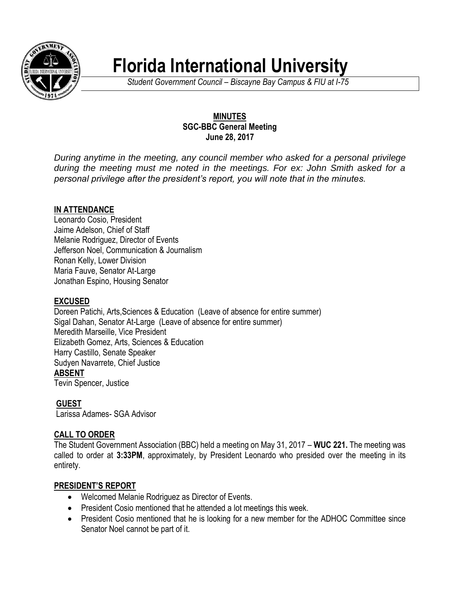

# **Florida International University**

*Student Government Council – Biscayne Bay Campus & FIU at I-75*

## **MINUTES SGC-BBC General Meeting June 28, 2017**

*During anytime in the meeting, any council member who asked for a personal privilege during the meeting must me noted in the meetings. For ex: John Smith asked for a personal privilege after the president's report, you will note that in the minutes.*

# **IN ATTENDANCE**

Leonardo Cosio, President Jaime Adelson, Chief of Staff Melanie Rodriguez, Director of Events Jefferson Noel, Communication & Journalism Ronan Kelly, Lower Division Maria Fauve, Senator At-Large Jonathan Espino, Housing Senator

# **EXCUSED**

Doreen Patichi, Arts,Sciences & Education (Leave of absence for entire summer) Sigal Dahan, Senator At-Large (Leave of absence for entire summer) Meredith Marseille, Vice President Elizabeth Gomez, Arts, Sciences & Education Harry Castillo, Senate Speaker Sudyen Navarrete, Chief Justice **ABSENT** Tevin Spencer, Justice

# **GUEST**

Larissa Adames- SGA Advisor

# **CALL TO ORDER**

The Student Government Association (BBC) held a meeting on May 31, 2017 – **WUC 221.** The meeting was called to order at **3:33PM**, approximately, by President Leonardo who presided over the meeting in its entirety.

#### **PRESIDENT'S REPORT**

- Welcomed Melanie Rodriguez as Director of Events.
- President Cosio mentioned that he attended a lot meetings this week.
- President Cosio mentioned that he is looking for a new member for the ADHOC Committee since Senator Noel cannot be part of it.